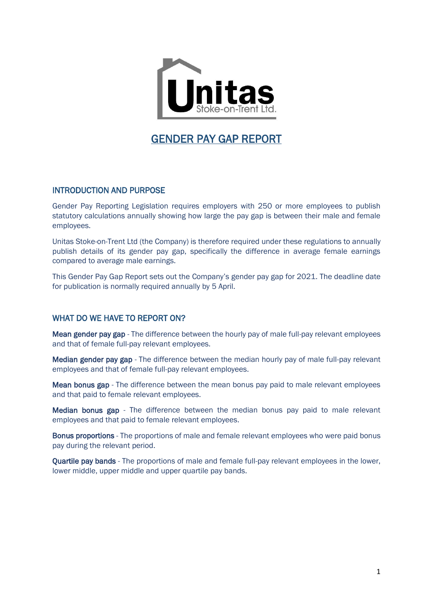

# GENDER PAY GAP REPORT

## INTRODUCTION AND PURPOSE

Gender Pay Reporting Legislation requires employers with 250 or more employees to publish statutory calculations annually showing how large the pay gap is between their male and female employees.

Unitas Stoke-on-Trent Ltd (the Company) is therefore required under these regulations to annually publish details of its gender pay gap, specifically the difference in average female earnings compared to average male earnings.

This Gender Pay Gap Report sets out the Company's gender pay gap for 2021. The deadline date for publication is normally required annually by 5 April.

#### WHAT DO WE HAVE TO REPORT ON?

Mean gender pay gap - The difference between the hourly pay of male full-pay relevant employees and that of female full-pay relevant employees.

Median gender pay gap - The difference between the median hourly pay of male full-pay relevant employees and that of female full-pay relevant employees.

Mean bonus gap - The difference between the mean bonus pay paid to male relevant employees and that paid to female relevant employees.

Median bonus gap - The difference between the median bonus pay paid to male relevant employees and that paid to female relevant employees.

Bonus proportions - The proportions of male and female relevant employees who were paid bonus pay during the relevant period.

Quartile pay bands - The proportions of male and female full-pay relevant employees in the lower, lower middle, upper middle and upper quartile pay bands.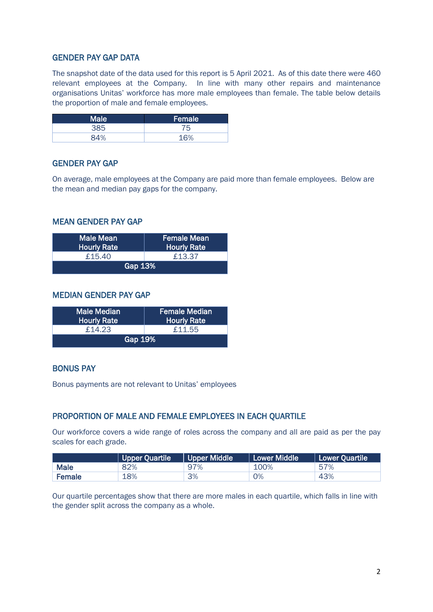# GENDER PAY GAP DATA

The snapshot date of the data used for this report is 5 April 2021. As of this date there were 460 relevant employees at the Company. In line with many other repairs and maintenance organisations Unitas' workforce has more male employees than female. The table below details the proportion of male and female employees.

| <b>Male</b> | Female |  |
|-------------|--------|--|
| 385         | 75     |  |
| 84%         | 1.60/  |  |

### GENDER PAY GAP

On average, male employees at the Company are paid more than female employees. Below are the mean and median pay gaps for the company.

#### MEAN GENDER PAY GAP

| <b>Male Mean</b><br>Hourly Rate <sup>'</sup> | <b>Female Mean</b><br><b>Hourly Rate</b> |  |  |  |
|----------------------------------------------|------------------------------------------|--|--|--|
| £15.40                                       | £13.37                                   |  |  |  |
| Gap 13%                                      |                                          |  |  |  |

#### MEDIAN GENDER PAY GAP

| <b>Male Median</b><br><b>Hourly Rate</b> | <b>Female Median</b><br><b>Hourly Rate</b> |  |  |  |
|------------------------------------------|--------------------------------------------|--|--|--|
| £14.23                                   | £11.55                                     |  |  |  |
| Gap 19%                                  |                                            |  |  |  |

#### BONUS PAY

Bonus payments are not relevant to Unitas' employees

#### PROPORTION OF MALE AND FEMALE EMPLOYEES IN EACH QUARTILE

Our workforce covers a wide range of roles across the company and all are paid as per the pay scales for each grade.

|             | Upper Quartile | Upper Middle | Lower Middle | Lower Quartile |
|-------------|----------------|--------------|--------------|----------------|
| <b>Male</b> | 82%            | 97%          | 100%         | 57%            |
| Female      | 18%            | 3%           | 0%           | 43%            |

Our quartile percentages show that there are more males in each quartile, which falls in line with the gender split across the company as a whole.